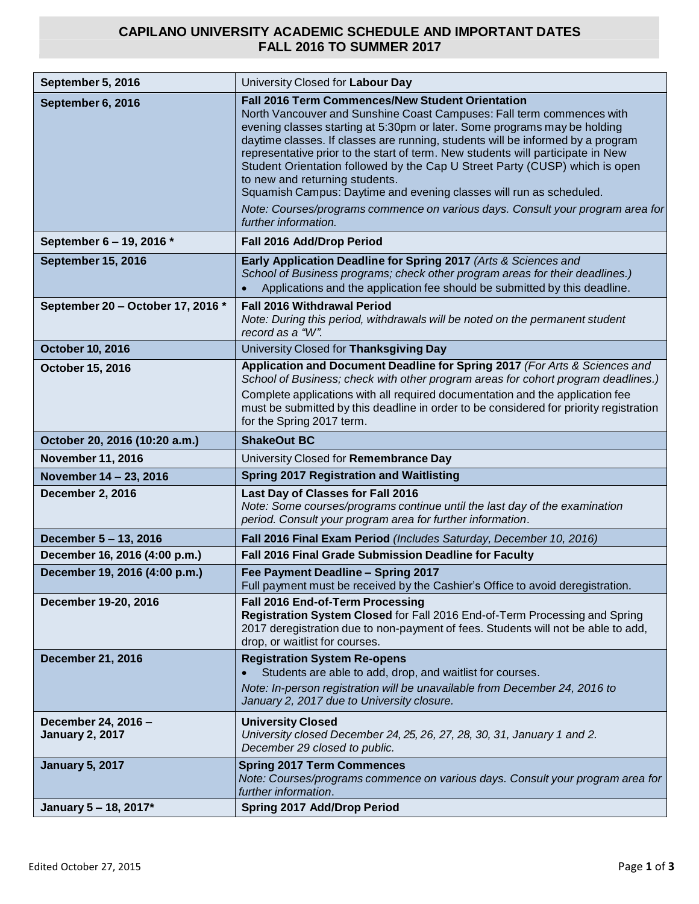## **CAPILANO UNIVERSITY ACADEMIC SCHEDULE AND IMPORTANT DATES FALL 2016 TO SUMMER 2017**

| September 5, 2016                             | University Closed for Labour Day                                                                                                                                                                                                                                                                                                                                                                                                                                                                                                                                                                                                                                                      |
|-----------------------------------------------|---------------------------------------------------------------------------------------------------------------------------------------------------------------------------------------------------------------------------------------------------------------------------------------------------------------------------------------------------------------------------------------------------------------------------------------------------------------------------------------------------------------------------------------------------------------------------------------------------------------------------------------------------------------------------------------|
| September 6, 2016                             | <b>Fall 2016 Term Commences/New Student Orientation</b><br>North Vancouver and Sunshine Coast Campuses: Fall term commences with<br>evening classes starting at 5:30pm or later. Some programs may be holding<br>daytime classes. If classes are running, students will be informed by a program<br>representative prior to the start of term. New students will participate in New<br>Student Orientation followed by the Cap U Street Party (CUSP) which is open<br>to new and returning students.<br>Squamish Campus: Daytime and evening classes will run as scheduled.<br>Note: Courses/programs commence on various days. Consult your program area for<br>further information. |
| September 6 - 19, 2016 *                      | Fall 2016 Add/Drop Period                                                                                                                                                                                                                                                                                                                                                                                                                                                                                                                                                                                                                                                             |
| <b>September 15, 2016</b>                     | Early Application Deadline for Spring 2017 (Arts & Sciences and<br>School of Business programs; check other program areas for their deadlines.)<br>Applications and the application fee should be submitted by this deadline.                                                                                                                                                                                                                                                                                                                                                                                                                                                         |
| September 20 - October 17, 2016 *             | <b>Fall 2016 Withdrawal Period</b><br>Note: During this period, withdrawals will be noted on the permanent student<br>record as a "W".                                                                                                                                                                                                                                                                                                                                                                                                                                                                                                                                                |
| <b>October 10, 2016</b>                       | University Closed for Thanksgiving Day                                                                                                                                                                                                                                                                                                                                                                                                                                                                                                                                                                                                                                                |
| October 15, 2016                              | Application and Document Deadline for Spring 2017 (For Arts & Sciences and<br>School of Business; check with other program areas for cohort program deadlines.)<br>Complete applications with all required documentation and the application fee<br>must be submitted by this deadline in order to be considered for priority registration<br>for the Spring 2017 term.                                                                                                                                                                                                                                                                                                               |
| October 20, 2016 (10:20 a.m.)                 | <b>ShakeOut BC</b>                                                                                                                                                                                                                                                                                                                                                                                                                                                                                                                                                                                                                                                                    |
| <b>November 11, 2016</b>                      | University Closed for Remembrance Day                                                                                                                                                                                                                                                                                                                                                                                                                                                                                                                                                                                                                                                 |
| November 14 - 23, 2016                        | <b>Spring 2017 Registration and Waitlisting</b>                                                                                                                                                                                                                                                                                                                                                                                                                                                                                                                                                                                                                                       |
| December 2, 2016                              | Last Day of Classes for Fall 2016<br>Note: Some courses/programs continue until the last day of the examination<br>period. Consult your program area for further information.                                                                                                                                                                                                                                                                                                                                                                                                                                                                                                         |
| December 5 - 13, 2016                         | Fall 2016 Final Exam Period (Includes Saturday, December 10, 2016)                                                                                                                                                                                                                                                                                                                                                                                                                                                                                                                                                                                                                    |
| December 16, 2016 (4:00 p.m.)                 | Fall 2016 Final Grade Submission Deadline for Faculty                                                                                                                                                                                                                                                                                                                                                                                                                                                                                                                                                                                                                                 |
| December 19, 2016 (4:00 p.m.)                 | Fee Payment Deadline - Spring 2017<br>Full payment must be received by the Cashier's Office to avoid deregistration.                                                                                                                                                                                                                                                                                                                                                                                                                                                                                                                                                                  |
| December 19-20, 2016                          | Fall 2016 End-of-Term Processing<br>Registration System Closed for Fall 2016 End-of-Term Processing and Spring<br>2017 deregistration due to non-payment of fees. Students will not be able to add,<br>drop, or waitlist for courses.                                                                                                                                                                                                                                                                                                                                                                                                                                                 |
| <b>December 21, 2016</b>                      | <b>Registration System Re-opens</b><br>Students are able to add, drop, and waitlist for courses.<br>Note: In-person registration will be unavailable from December 24, 2016 to<br>January 2, 2017 due to University closure.                                                                                                                                                                                                                                                                                                                                                                                                                                                          |
| December 24, 2016 -<br><b>January 2, 2017</b> | <b>University Closed</b><br>University closed December 24, 25, 26, 27, 28, 30, 31, January 1 and 2.<br>December 29 closed to public.                                                                                                                                                                                                                                                                                                                                                                                                                                                                                                                                                  |
| <b>January 5, 2017</b>                        | <b>Spring 2017 Term Commences</b><br>Note: Courses/programs commence on various days. Consult your program area for<br>further information.                                                                                                                                                                                                                                                                                                                                                                                                                                                                                                                                           |
| January 5 - 18, 2017*                         | <b>Spring 2017 Add/Drop Period</b>                                                                                                                                                                                                                                                                                                                                                                                                                                                                                                                                                                                                                                                    |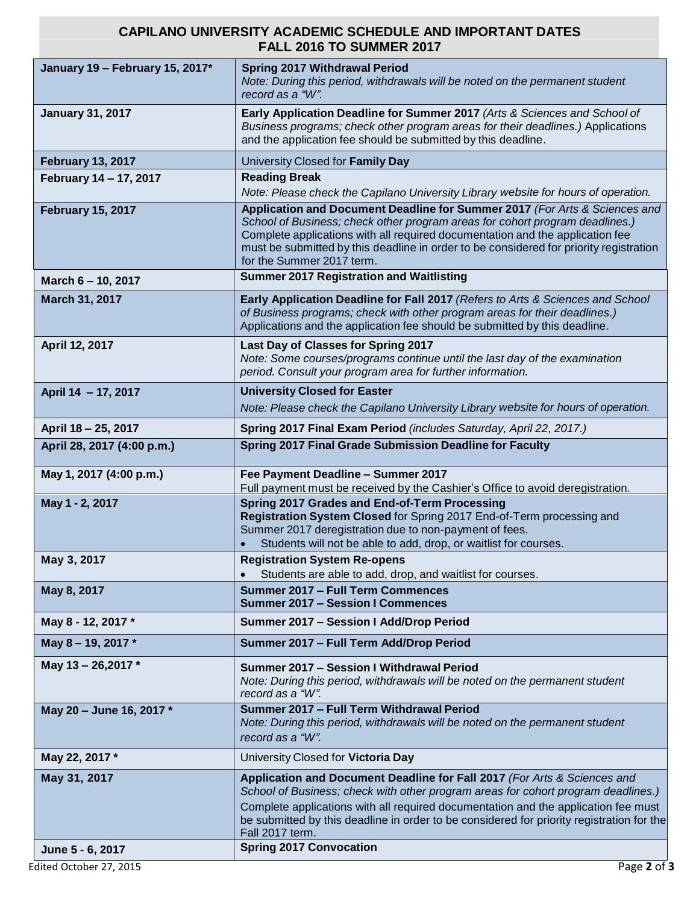## **CAPILANO UNIVERSITY ACADEMIC SCHEDULE AND IMPORTANT DATES FALL 2016 TO SUMMER 2017**

| January 19 - February 15, 2017* | <b>Spring 2017 Withdrawal Period</b>                                                                                                                                                                                                                                                                                                                                |
|---------------------------------|---------------------------------------------------------------------------------------------------------------------------------------------------------------------------------------------------------------------------------------------------------------------------------------------------------------------------------------------------------------------|
|                                 | Note: During this period, withdrawals will be noted on the permanent student<br>record as a "W".                                                                                                                                                                                                                                                                    |
| <b>January 31, 2017</b>         | Early Application Deadline for Summer 2017 (Arts & Sciences and School of<br>Business programs; check other program areas for their deadlines.) Applications<br>and the application fee should be submitted by this deadline.                                                                                                                                       |
| <b>February 13, 2017</b>        | University Closed for Family Day                                                                                                                                                                                                                                                                                                                                    |
| February 14 - 17, 2017          | <b>Reading Break</b>                                                                                                                                                                                                                                                                                                                                                |
|                                 | Note: Please check the Capilano University Library website for hours of operation.                                                                                                                                                                                                                                                                                  |
| <b>February 15, 2017</b>        | Application and Document Deadline for Summer 2017 (For Arts & Sciences and<br>School of Business; check other program areas for cohort program deadlines.)<br>Complete applications with all required documentation and the application fee<br>must be submitted by this deadline in order to be considered for priority registration<br>for the Summer 2017 term.  |
| March 6 - 10, 2017              | <b>Summer 2017 Registration and Waitlisting</b>                                                                                                                                                                                                                                                                                                                     |
| March 31, 2017                  | Early Application Deadline for Fall 2017 (Refers to Arts & Sciences and School<br>of Business programs; check with other program areas for their deadlines.)<br>Applications and the application fee should be submitted by this deadline.                                                                                                                          |
| April 12, 2017                  | Last Day of Classes for Spring 2017<br>Note: Some courses/programs continue until the last day of the examination<br>period. Consult your program area for further information.                                                                                                                                                                                     |
| April 14 - 17, 2017             | <b>University Closed for Easter</b>                                                                                                                                                                                                                                                                                                                                 |
|                                 | Note: Please check the Capilano University Library website for hours of operation.                                                                                                                                                                                                                                                                                  |
| April 18 - 25, 2017             | Spring 2017 Final Exam Period (includes Saturday, April 22, 2017.)                                                                                                                                                                                                                                                                                                  |
| April 28, 2017 (4:00 p.m.)      | Spring 2017 Final Grade Submission Deadline for Faculty                                                                                                                                                                                                                                                                                                             |
| May 1, 2017 (4:00 p.m.)         | Fee Payment Deadline - Summer 2017<br>Full payment must be received by the Cashier's Office to avoid deregistration.                                                                                                                                                                                                                                                |
| May 1 - 2, 2017                 | Spring 2017 Grades and End-of-Term Processing<br>Registration System Closed for Spring 2017 End-of-Term processing and<br>Summer 2017 deregistration due to non-payment of fees.<br>Students will not be able to add, drop, or waitlist for courses.                                                                                                                |
| May 3, 2017                     | <b>Registration System Re-opens</b>                                                                                                                                                                                                                                                                                                                                 |
|                                 | Students are able to add, drop, and waitlist for courses.                                                                                                                                                                                                                                                                                                           |
| May 8, 2017                     | Summer 2017 - Full Term Commences<br><b>Summer 2017 - Session I Commences</b>                                                                                                                                                                                                                                                                                       |
| May 8 - 12, 2017 *              | Summer 2017 - Session I Add/Drop Period                                                                                                                                                                                                                                                                                                                             |
| May 8-19, 2017*                 | Summer 2017 - Full Term Add/Drop Period                                                                                                                                                                                                                                                                                                                             |
| May 13 - 26,2017 *              | Summer 2017 - Session I Withdrawal Period<br>Note: During this period, withdrawals will be noted on the permanent student<br>record as a "W".                                                                                                                                                                                                                       |
| May 20 - June 16, 2017 *        | Summer 2017 - Full Term Withdrawal Period<br>Note: During this period, withdrawals will be noted on the permanent student<br>record as a "W".                                                                                                                                                                                                                       |
| May 22, 2017 *                  | University Closed for Victoria Day                                                                                                                                                                                                                                                                                                                                  |
| May 31, 2017                    | Application and Document Deadline for Fall 2017 (For Arts & Sciences and<br>School of Business; check with other program areas for cohort program deadlines.)<br>Complete applications with all required documentation and the application fee must<br>be submitted by this deadline in order to be considered for priority registration for the<br>Fall 2017 term. |
| June 5 - 6, 2017                | <b>Spring 2017 Convocation</b>                                                                                                                                                                                                                                                                                                                                      |